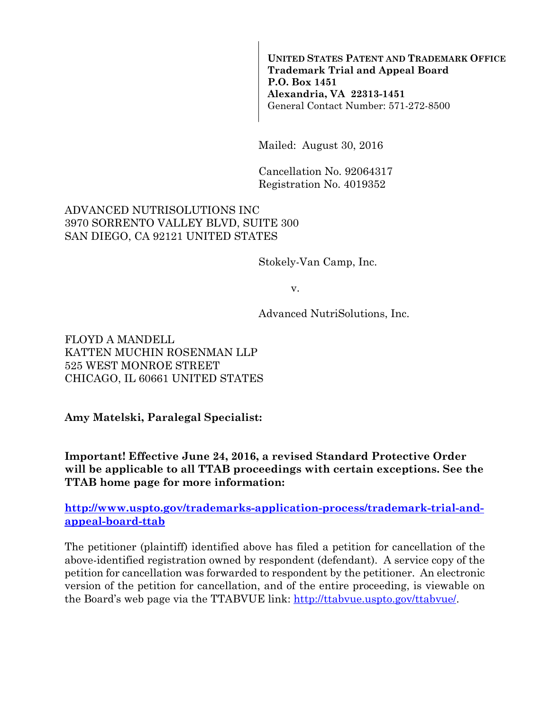**UNITED STATES PATENT AND TRADEMARK OFFICE Trademark Trial and Appeal Board P.O. Box 1451 Alexandria, VA 22313-1451**  General Contact Number: 571-272-8500

Mailed: August 30, 2016

Cancellation No. 92064317 Registration No. 4019352

#### ADVANCED NUTRISOLUTIONS INC 3970 SORRENTO VALLEY BLVD, SUITE 300 SAN DIEGO, CA 92121 UNITED STATES

Stokely-Van Camp, Inc.

v.

Advanced NutriSolutions, Inc.

FLOYD A MANDELL KATTEN MUCHIN ROSENMAN LLP 525 WEST MONROE STREET CHICAGO, IL 60661 UNITED STATES

**Amy Matelski, Paralegal Specialist:** 

**Important! Effective June 24, 2016, a revised Standard Protective Order will be applicable to all TTAB proceedings with certain exceptions. See the TTAB home page for more information:** 

**http://www.uspto.gov/trademarks-application-process/trademark-trial-andappeal-board-ttab**

The petitioner (plaintiff) identified above has filed a petition for cancellation of the above-identified registration owned by respondent (defendant). A service copy of the petition for cancellation was forwarded to respondent by the petitioner. An electronic version of the petition for cancellation, and of the entire proceeding, is viewable on the Board's web page via the TTABVUE link: http://ttabvue.uspto.gov/ttabvue/.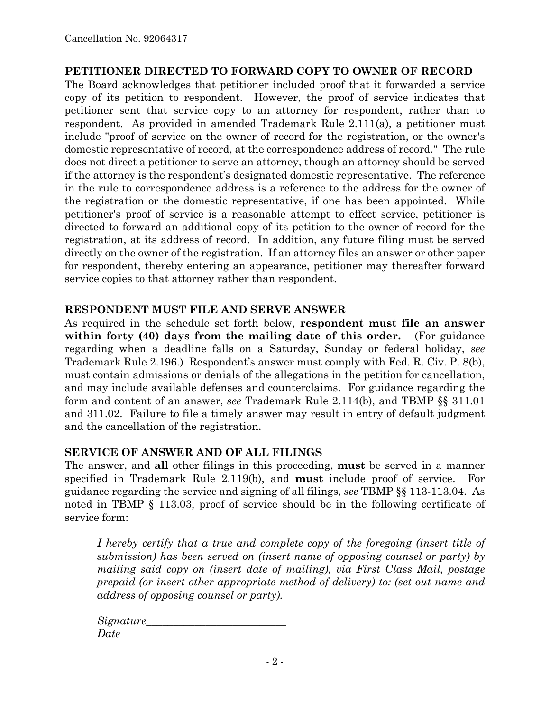#### **PETITIONER DIRECTED TO FORWARD COPY TO OWNER OF RECORD**

The Board acknowledges that petitioner included proof that it forwarded a service copy of its petition to respondent. However, the proof of service indicates that petitioner sent that service copy to an attorney for respondent, rather than to respondent. As provided in amended Trademark Rule 2.111(a), a petitioner must include "proof of service on the owner of record for the registration, or the owner's domestic representative of record, at the correspondence address of record." The rule does not direct a petitioner to serve an attorney, though an attorney should be served if the attorney is the respondent's designated domestic representative. The reference in the rule to correspondence address is a reference to the address for the owner of the registration or the domestic representative, if one has been appointed. While petitioner's proof of service is a reasonable attempt to effect service, petitioner is directed to forward an additional copy of its petition to the owner of record for the registration, at its address of record. In addition, any future filing must be served directly on the owner of the registration. If an attorney files an answer or other paper for respondent, thereby entering an appearance, petitioner may thereafter forward service copies to that attorney rather than respondent.

#### **RESPONDENT MUST FILE AND SERVE ANSWER**

As required in the schedule set forth below, **respondent must file an answer within forty (40) days from the mailing date of this order.** (For guidance regarding when a deadline falls on a Saturday, Sunday or federal holiday, *see* Trademark Rule 2.196.) Respondent's answer must comply with Fed. R. Civ. P. 8(b), must contain admissions or denials of the allegations in the petition for cancellation, and may include available defenses and counterclaims. For guidance regarding the form and content of an answer, *see* Trademark Rule 2.114(b), and TBMP §§ 311.01 and 311.02. Failure to file a timely answer may result in entry of default judgment and the cancellation of the registration.

#### **SERVICE OF ANSWER AND OF ALL FILINGS**

The answer, and **all** other filings in this proceeding, **must** be served in a manner specified in Trademark Rule 2.119(b), and **must** include proof of service. For guidance regarding the service and signing of all filings, *see* TBMP §§ 113-113.04. As noted in TBMP § 113.03, proof of service should be in the following certificate of service form:

*I hereby certify that a true and complete copy of the foregoing (insert title of submission) has been served on (insert name of opposing counsel or party) by mailing said copy on (insert date of mailing), via First Class Mail, postage prepaid (or insert other appropriate method of delivery) to: (set out name and address of opposing counsel or party).* 

*Signature\_\_\_\_\_\_\_\_\_\_\_\_\_\_\_\_\_\_\_\_\_\_\_\_\_\_*   $Date$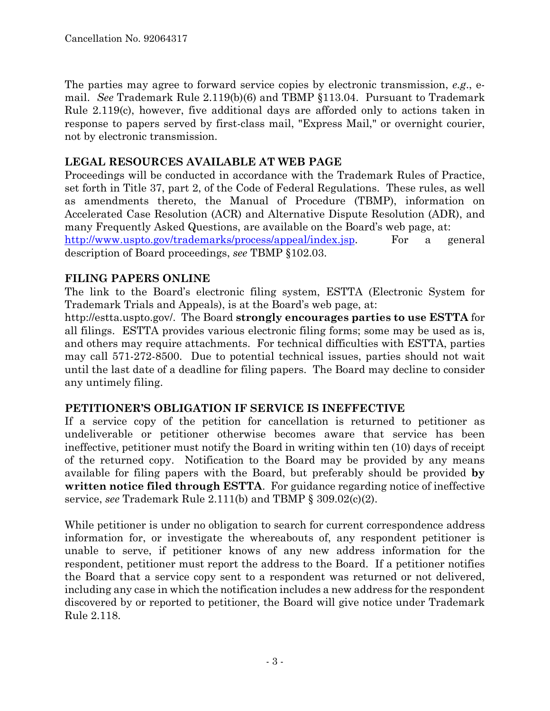The parties may agree to forward service copies by electronic transmission, *e.g*., email. *See* Trademark Rule 2.119(b)(6) and TBMP §113.04. Pursuant to Trademark Rule 2.119(c), however, five additional days are afforded only to actions taken in response to papers served by first-class mail, "Express Mail," or overnight courier, not by electronic transmission.

# **LEGAL RESOURCES AVAILABLE AT WEB PAGE**

Proceedings will be conducted in accordance with the Trademark Rules of Practice, set forth in Title 37, part 2, of the Code of Federal Regulations.These rules, as well as amendments thereto, the Manual of Procedure (TBMP), information on Accelerated Case Resolution (ACR) and Alternative Dispute Resolution (ADR), and many Frequently Asked Questions, are available on the Board's web page, at: http://www.uspto.gov/trademarks/process/appeal/index.jsp. For a general description of Board proceedings, *see* TBMP §102.03.

## **FILING PAPERS ONLINE**

The link to the Board's electronic filing system, ESTTA (Electronic System for Trademark Trials and Appeals), is at the Board's web page, at:

http://estta.uspto.gov/. The Board **strongly encourages parties to use ESTTA** for all filings. ESTTA provides various electronic filing forms; some may be used as is, and others may require attachments. For technical difficulties with ESTTA, parties may call 571-272-8500. Due to potential technical issues, parties should not wait until the last date of a deadline for filing papers. The Board may decline to consider any untimely filing.

## **PETITIONER'S OBLIGATION IF SERVICE IS INEFFECTIVE**

If a service copy of the petition for cancellation is returned to petitioner as undeliverable or petitioner otherwise becomes aware that service has been ineffective, petitioner must notify the Board in writing within ten (10) days of receipt of the returned copy. Notification to the Board may be provided by any means available for filing papers with the Board, but preferably should be provided **by written notice filed through ESTTA**. For guidance regarding notice of ineffective service, *see* Trademark Rule 2.111(b) and TBMP § 309.02(c)(2).

While petitioner is under no obligation to search for current correspondence address information for, or investigate the whereabouts of, any respondent petitioner is unable to serve, if petitioner knows of any new address information for the respondent, petitioner must report the address to the Board. If a petitioner notifies the Board that a service copy sent to a respondent was returned or not delivered, including any case in which the notification includes a new address for the respondent discovered by or reported to petitioner, the Board will give notice under Trademark Rule 2.118.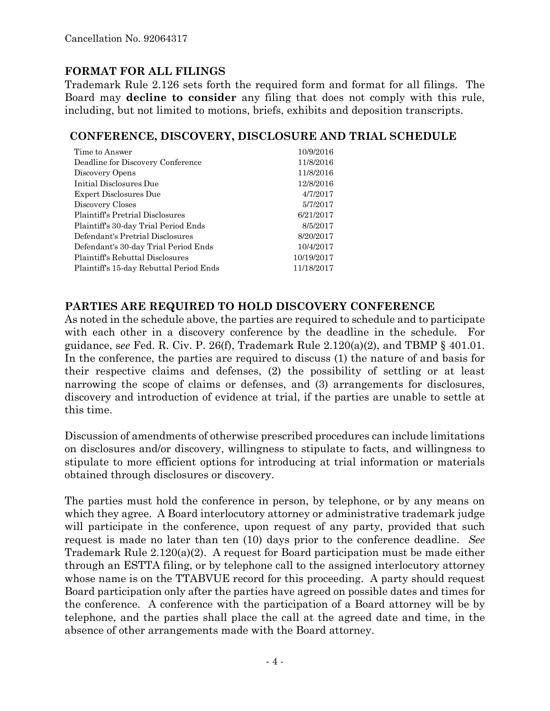# **FORMAT FOR ALL FILINGS**

Trademark Rule 2.126 sets forth the required form and format for all filings. The Board may **decline to consider** any filing that does not comply with this rule, including, but not limited to motions, briefs, exhibits and deposition transcripts.

#### **CONFERENCE, DISCOVERY, DISCLOSURE AND TRIAL SCHEDULE**

| Time to Answer                          | 10/9/2016  |
|-----------------------------------------|------------|
| Deadline for Discovery Conference       | 11/8/2016  |
| Discovery Opens                         | 11/8/2016  |
| Initial Disclosures Due                 | 12/8/2016  |
| <b>Expert Disclosures Due</b>           | 4/7/2017   |
| Discovery Closes                        | 5/7/2017   |
| <b>Plaintiff's Pretrial Disclosures</b> | 6/21/2017  |
| Plaintiff's 30-day Trial Period Ends    | 8/5/2017   |
| Defendant's Pretrial Disclosures        | 8/20/2017  |
| Defendant's 30-day Trial Period Ends    | 10/4/2017  |
| Plaintiff's Rebuttal Disclosures        | 10/19/2017 |
| Plaintiff's 15-day Rebuttal Period Ends | 11/18/2017 |

#### **PARTIES ARE REQUIRED TO HOLD DISCOVERY CONFERENCE**

As noted in the schedule above, the parties are required to schedule and to participate with each other in a discovery conference by the deadline in the schedule. For guidance, s*ee* Fed. R. Civ. P. 26(f), Trademark Rule 2.120(a)(2), and TBMP § 401.01. In the conference, the parties are required to discuss (1) the nature of and basis for their respective claims and defenses, (2) the possibility of settling or at least narrowing the scope of claims or defenses, and (3) arrangements for disclosures, discovery and introduction of evidence at trial, if the parties are unable to settle at this time.

Discussion of amendments of otherwise prescribed procedures can include limitations on disclosures and/or discovery, willingness to stipulate to facts, and willingness to stipulate to more efficient options for introducing at trial information or materials obtained through disclosures or discovery.

The parties must hold the conference in person, by telephone, or by any means on which they agree. A Board interlocutory attorney or administrative trademark judge will participate in the conference, upon request of any party, provided that such request is made no later than ten (10) days prior to the conference deadline. *See* Trademark Rule 2.120(a)(2). A request for Board participation must be made either through an ESTTA filing, or by telephone call to the assigned interlocutory attorney whose name is on the TTABVUE record for this proceeding. A party should request Board participation only after the parties have agreed on possible dates and times for the conference. A conference with the participation of a Board attorney will be by telephone, and the parties shall place the call at the agreed date and time, in the absence of other arrangements made with the Board attorney.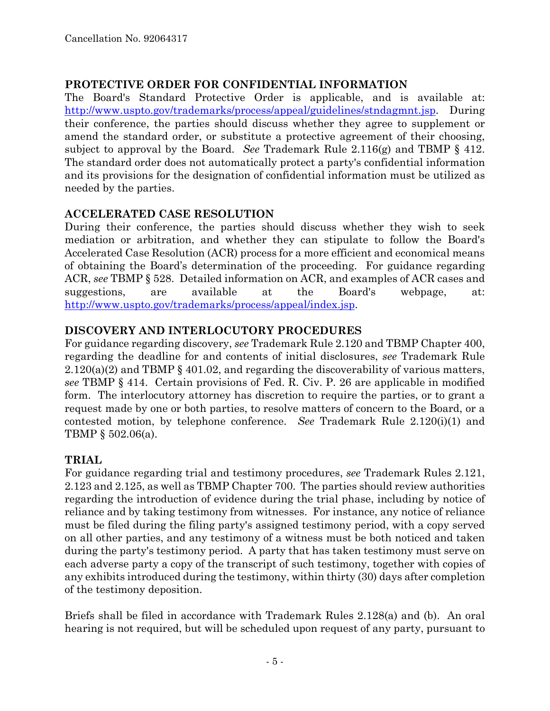## **PROTECTIVE ORDER FOR CONFIDENTIAL INFORMATION**

The Board's Standard Protective Order is applicable, and is available at: http://www.uspto.gov/trademarks/process/appeal/guidelines/stndagmnt.jsp. During their conference, the parties should discuss whether they agree to supplement or amend the standard order, or substitute a protective agreement of their choosing, subject to approval by the Board. *See* Trademark Rule 2.116(g) and TBMP § 412. The standard order does not automatically protect a party's confidential information and its provisions for the designation of confidential information must be utilized as needed by the parties.

# **ACCELERATED CASE RESOLUTION**

During their conference, the parties should discuss whether they wish to seek mediation or arbitration, and whether they can stipulate to follow the Board's Accelerated Case Resolution (ACR) process for a more efficient and economical means of obtaining the Board's determination of the proceeding. For guidance regarding ACR, *see* TBMP § 528. Detailed information on ACR, and examples of ACR cases and suggestions, are available at the Board's webpage, at: http://www.uspto.gov/trademarks/process/appeal/index.jsp.

# **DISCOVERY AND INTERLOCUTORY PROCEDURES**

For guidance regarding discovery, *see* Trademark Rule 2.120 and TBMP Chapter 400, regarding the deadline for and contents of initial disclosures, *see* Trademark Rule 2.120(a)(2) and TBMP § 401.02, and regarding the discoverability of various matters, *see* TBMP § 414. Certain provisions of Fed. R. Civ. P. 26 are applicable in modified form. The interlocutory attorney has discretion to require the parties, or to grant a request made by one or both parties, to resolve matters of concern to the Board, or a contested motion, by telephone conference. *See* Trademark Rule 2.120(i)(1) and TBMP § 502.06(a).

# **TRIAL**

For guidance regarding trial and testimony procedures, *see* Trademark Rules 2.121, 2.123 and 2.125, as well as TBMP Chapter 700. The parties should review authorities regarding the introduction of evidence during the trial phase, including by notice of reliance and by taking testimony from witnesses. For instance, any notice of reliance must be filed during the filing party's assigned testimony period, with a copy served on all other parties, and any testimony of a witness must be both noticed and taken during the party's testimony period. A party that has taken testimony must serve on each adverse party a copy of the transcript of such testimony, together with copies of any exhibits introduced during the testimony, within thirty (30) days after completion of the testimony deposition.

Briefs shall be filed in accordance with Trademark Rules 2.128(a) and (b). An oral hearing is not required, but will be scheduled upon request of any party, pursuant to